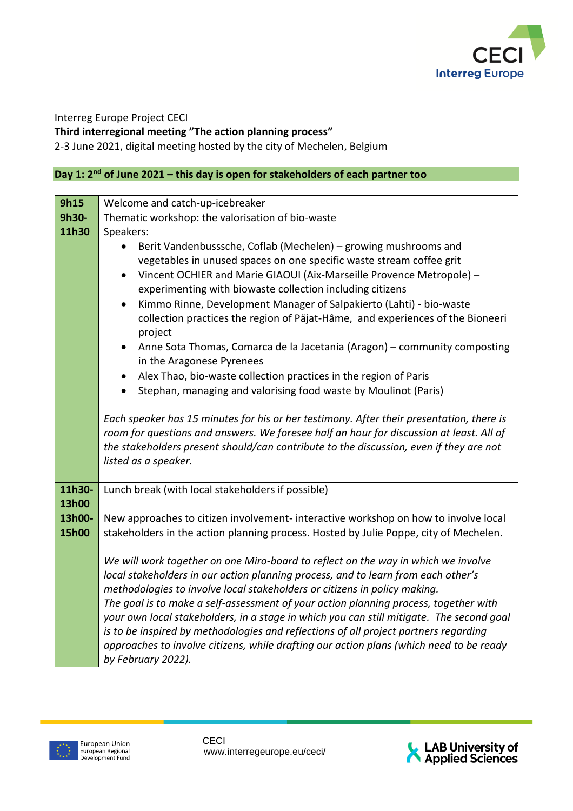

Interreg Europe Project CECI

**Third interregional meeting "The action planning process"**

2-3 June 2021, digital meeting hosted by the city of Mechelen, Belgium

## **Day 1: 2nd of June 2021 – this day is open for stakeholders of each partner too**

| 9h15         | Welcome and catch-up-icebreaker                                                                                |
|--------------|----------------------------------------------------------------------------------------------------------------|
| 9h30-        | Thematic workshop: the valorisation of bio-waste                                                               |
| 11h30        | Speakers:                                                                                                      |
|              | Berit Vandenbusssche, Coflab (Mechelen) - growing mushrooms and                                                |
|              | vegetables in unused spaces on one specific waste stream coffee grit                                           |
|              | Vincent OCHIER and Marie GIAOUI (Aix-Marseille Provence Metropole) -                                           |
|              | experimenting with biowaste collection including citizens                                                      |
|              | Kimmo Rinne, Development Manager of Salpakierto (Lahti) - bio-waste<br>$\bullet$                               |
|              | collection practices the region of Päjat-Hâme, and experiences of the Bioneeri                                 |
|              | project                                                                                                        |
|              | Anne Sota Thomas, Comarca de la Jacetania (Aragon) - community composting<br>$\bullet$                         |
|              | in the Aragonese Pyrenees                                                                                      |
|              | Alex Thao, bio-waste collection practices in the region of Paris<br>$\bullet$                                  |
|              | Stephan, managing and valorising food waste by Moulinot (Paris)                                                |
|              |                                                                                                                |
|              | Each speaker has 15 minutes for his or her testimony. After their presentation, there is                       |
|              | room for questions and answers. We foresee half an hour for discussion at least. All of                        |
|              | the stakeholders present should/can contribute to the discussion, even if they are not<br>listed as a speaker. |
|              |                                                                                                                |
| 11h30-       | Lunch break (with local stakeholders if possible)                                                              |
| <b>13h00</b> |                                                                                                                |
| 13h00-       | New approaches to citizen involvement- interactive workshop on how to involve local                            |
| 15h00        | stakeholders in the action planning process. Hosted by Julie Poppe, city of Mechelen.                          |
|              |                                                                                                                |
|              | We will work together on one Miro-board to reflect on the way in which we involve                              |
|              | local stakeholders in our action planning process, and to learn from each other's                              |
|              | methodologies to involve local stakeholders or citizens in policy making.                                      |
|              | The goal is to make a self-assessment of your action planning process, together with                           |
|              | your own local stakeholders, in a stage in which you can still mitigate. The second goal                       |
|              | is to be inspired by methodologies and reflections of all project partners regarding                           |
|              | approaches to involve citizens, while drafting our action plans (which need to be ready                        |
|              | by February 2022).                                                                                             |